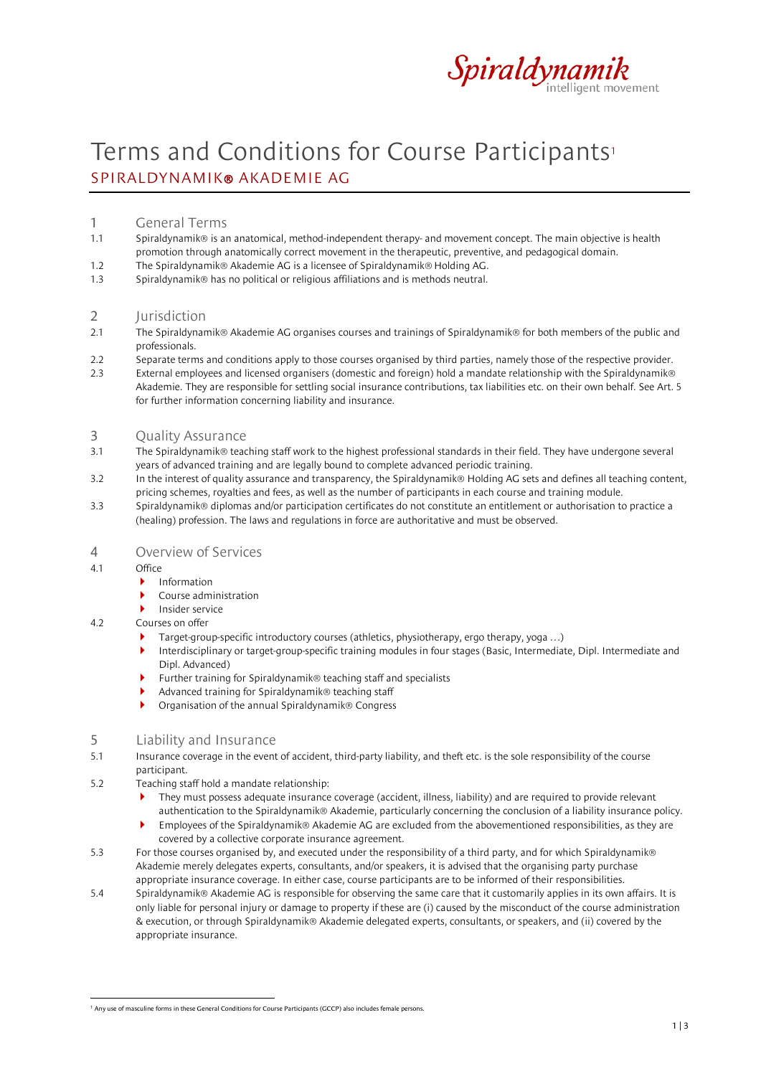

# Terms and Conditions for Course Participants<sup>[1](#page-0-0)</sup> SPIRALDYNAMIK® AKADEMIE AG

# 1 General Terms

- 1.1 Spiraldynamik® is an anatomical, method-independent therapy- and movement concept. The main objective is health promotion through anatomically correct movement in the therapeutic, preventive, and pedagogical domain.
- 1.2 The Spiraldynamik® Akademie AG is a licensee of Spiraldynamik® Holding AG.
- 1.3 Spiraldynamik® has no political or religious affiliations and is methods neutral.

#### 2 Jurisdiction

- 2.1 The Spiraldynamik® Akademie AG organises courses and trainings of Spiraldynamik® for both members of the public and professionals.
- 2.2 Separate terms and conditions apply to those courses organised by third parties, namely those of the respective provider.
- 2.3 External employees and licensed organisers (domestic and foreign) hold a mandate relationship with the Spiraldynamik® Akademie. They are responsible for settling social insurance contributions, tax liabilities etc. on their own behalf. See Art. 5 for further information concerning liability and insurance.

#### 3 Quality Assurance

- 3.1 The Spiraldynamik® teaching staff work to the highest professional standards in their field. They have undergone several years of advanced training and are legally bound to complete advanced periodic training.
- 3.2 In the interest of quality assurance and transparency, the Spiraldynamik® Holding AG sets and defines all teaching content, pricing schemes, royalties and fees, as well as the number of participants in each course and training module.
- 3.3 Spiraldynamik® diplomas and/or participation certificates do not constitute an entitlement or authorisation to practice a (healing) profession. The laws and regulations in force are authoritative and must be observed.

## 4 Overview of Services

- 4.1 Office
	- **Information**
	- Course administration
	- **Insider service**

#### 4.2 Courses on offer

- Target-group-specific introductory courses (athletics, physiotherapy, ergo therapy, yoga …)
- Interdisciplinary or target-group-specific training modules in four stages (Basic, Intermediate, Dipl. Intermediate and Dipl. Advanced)
- ▶ Further training for Spiraldynamik® teaching staff and specialists
- Advanced training for Spiraldynamik® teaching staff
- ▶ Organisation of the annual Spiraldynamik® Congress

#### 5 Liability and Insurance

- 5.1 Insurance coverage in the event of accident, third-party liability, and theft etc. is the sole responsibility of the course participant.
- 5.2 Teaching staff hold a mandate relationship:
	- ▶ They must possess adequate insurance coverage (accident, illness, liability) and are required to provide relevant authentication to the Spiraldynamik® Akademie, particularly concerning the conclusion of a liability insurance policy.
	- Employees of the Spiraldynamik® Akademie AG are excluded from the abovementioned responsibilities, as they are covered by a collective corporate insurance agreement.
- 5.3 For those courses organised by, and executed under the responsibility of a third party, and for which Spiraldynamik® Akademie merely delegates experts, consultants, and/or speakers, it is advised that the organising party purchase appropriate insurance coverage. In either case, course participants are to be informed of their responsibilities.
- 5.4 Spiraldynamik® Akademie AG is responsible for observing the same care that it customarily applies in its own affairs. It is only liable for personal injury or damage to property if these are (i) caused by the misconduct of the course administration & execution, or through Spiraldynamik® Akademie delegated experts, consultants, or speakers, and (ii) covered by the appropriate insurance.

<span id="page-0-0"></span><sup>&</sup>lt;sup>1</sup> Any use of masculine forms in these General Conditions for Course Participants (GCCP) also includes female persons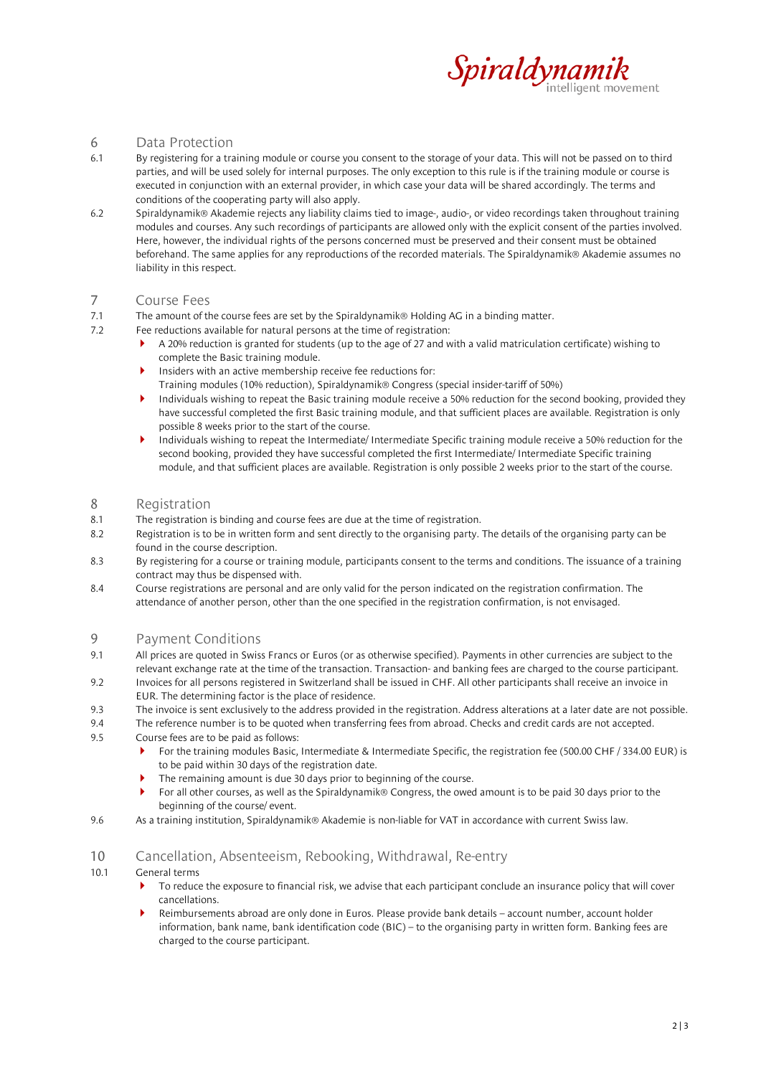

# 6 Data Protection

- 6.1 By registering for a training module or course you consent to the storage of your data. This will not be passed on to third parties, and will be used solely for internal purposes. The only exception to this rule is if the training module or course is executed in conjunction with an external provider, in which case your data will be shared accordingly. The terms and conditions of the cooperating party will also apply.
- 6.2 Spiraldynamik® Akademie rejects any liability claims tied to image-, audio-, or video recordings taken throughout training modules and courses. Any such recordings of participants are allowed only with the explicit consent of the parties involved. Here, however, the individual rights of the persons concerned must be preserved and their consent must be obtained beforehand. The same applies for any reproductions of the recorded materials. The Spiraldynamik® Akademie assumes no liability in this respect.

# 7 Course Fees

- 7.1 The amount of the course fees are set by the Spiraldynamik® Holding AG in a binding matter.
- 7.2 Fee reductions available for natural persons at the time of registration:
	- A 20% reduction is granted for students (up to the age of 27 and with a valid matriculation certificate) wishing to complete the Basic training module.
		- Insiders with an active membership receive fee reductions for:
		- Training modules (10% reduction), Spiraldynamik® Congress (special insider-tariff of 50%)
		- Individuals wishing to repeat the Basic training module receive a 50% reduction for the second booking, provided they have successful completed the first Basic training module, and that sufficient places are available. Registration is only possible 8 weeks prior to the start of the course.
	- Individuals wishing to repeat the Intermediate/ Intermediate Specific training module receive a 50% reduction for the second booking, provided they have successful completed the first Intermediate/ Intermediate Specific training module, and that sufficient places are available. Registration is only possible 2 weeks prior to the start of the course.

## 8 Registration

- 8.1 The registration is binding and course fees are due at the time of registration.
- 8.2 Registration is to be in written form and sent directly to the organising party. The details of the organising party can be found in the course description.
- 8.3 By registering for a course or training module, participants consent to the terms and conditions. The issuance of a training contract may thus be dispensed with.
- 8.4 Course registrations are personal and are only valid for the person indicated on the registration confirmation. The attendance of another person, other than the one specified in the registration confirmation, is not envisaged.

# 9 Payment Conditions

- 9.1 All prices are quoted in Swiss Francs or Euros (or as otherwise specified). Payments in other currencies are subject to the relevant exchange rate at the time of the transaction. Transaction- and banking fees are charged to the course participant.
- 9.2 Invoices for all persons registered in Switzerland shall be issued in CHF. All other participants shall receive an invoice in EUR. The determining factor is the place of residence.
- 9.3 The invoice is sent exclusively to the address provided in the registration. Address alterations at a later date are not possible.
- 9.4 The reference number is to be quoted when transferring fees from abroad. Checks and credit cards are not accepted.
- 9.5 Course fees are to be paid as follows:
	- For the training modules Basic, Intermediate & Intermediate Specific, the registration fee (500.00 CHF / 334.00 EUR) is to be paid within 30 days of the registration date.
	- The remaining amount is due 30 days prior to beginning of the course.
	- For all other courses, as well as the Spiraldynamik® Congress, the owed amount is to be paid 30 days prior to the beginning of the course/ event.
- 9.6 As a training institution, Spiraldynamik® Akademie is non-liable for VAT in accordance with current Swiss law.

# 10 Cancellation, Absenteeism, Rebooking, Withdrawal, Re-entry

#### 10.1 General terms

- To reduce the exposure to financial risk, we advise that each participant conclude an insurance policy that will cover cancellations.
- Reimbursements abroad are only done in Euros. Please provide bank details account number, account holder information, bank name, bank identification code (BIC) – to the organising party in written form. Banking fees are charged to the course participant.